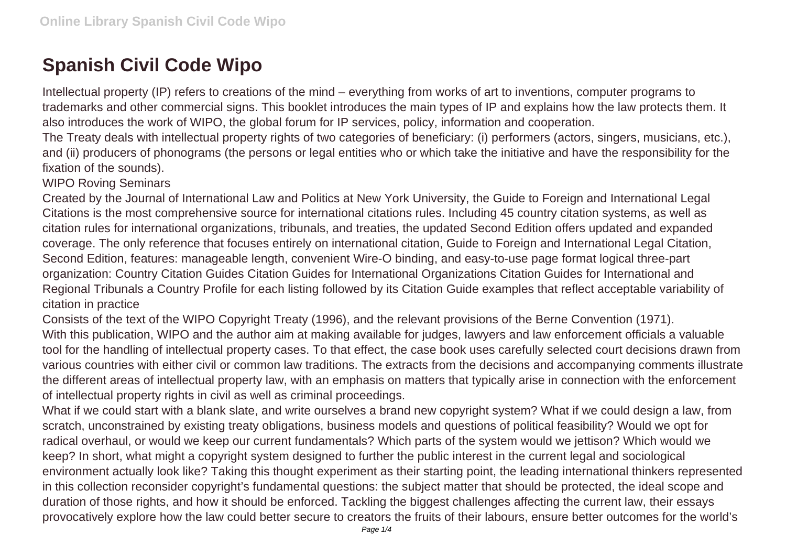## **Spanish Civil Code Wipo**

Intellectual property (IP) refers to creations of the mind – everything from works of art to inventions, computer programs to trademarks and other commercial signs. This booklet introduces the main types of IP and explains how the law protects them. It also introduces the work of WIPO, the global forum for IP services, policy, information and cooperation.

The Treaty deals with intellectual property rights of two categories of beneficiary: (i) performers (actors, singers, musicians, etc.), and (ii) producers of phonograms (the persons or legal entities who or which take the initiative and have the responsibility for the fixation of the sounds).

WIPO Roving Seminars

Created by the Journal of International Law and Politics at New York University, the Guide to Foreign and International Legal Citations is the most comprehensive source for international citations rules. Including 45 country citation systems, as well as citation rules for international organizations, tribunals, and treaties, the updated Second Edition offers updated and expanded coverage. The only reference that focuses entirely on international citation, Guide to Foreign and International Legal Citation, Second Edition, features: manageable length, convenient Wire-O binding, and easy-to-use page format logical three-part organization: Country Citation Guides Citation Guides for International Organizations Citation Guides for International and Regional Tribunals a Country Profile for each listing followed by its Citation Guide examples that reflect acceptable variability of citation in practice

Consists of the text of the WIPO Copyright Treaty (1996), and the relevant provisions of the Berne Convention (1971). With this publication, WIPO and the author aim at making available for judges, lawyers and law enforcement officials a valuable tool for the handling of intellectual property cases. To that effect, the case book uses carefully selected court decisions drawn from various countries with either civil or common law traditions. The extracts from the decisions and accompanying comments illustrate the different areas of intellectual property law, with an emphasis on matters that typically arise in connection with the enforcement of intellectual property rights in civil as well as criminal proceedings.

What if we could start with a blank slate, and write ourselves a brand new copyright system? What if we could design a law, from scratch, unconstrained by existing treaty obligations, business models and questions of political feasibility? Would we opt for radical overhaul, or would we keep our current fundamentals? Which parts of the system would we jettison? Which would we keep? In short, what might a copyright system designed to further the public interest in the current legal and sociological environment actually look like? Taking this thought experiment as their starting point, the leading international thinkers represented in this collection reconsider copyright's fundamental questions: the subject matter that should be protected, the ideal scope and duration of those rights, and how it should be enforced. Tackling the biggest challenges affecting the current law, their essays provocatively explore how the law could better secure to creators the fruits of their labours, ensure better outcomes for the world's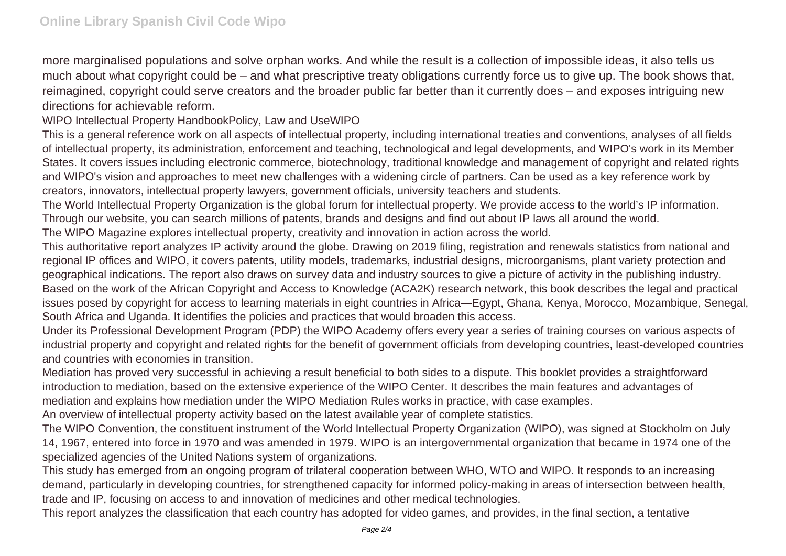more marginalised populations and solve orphan works. And while the result is a collection of impossible ideas, it also tells us much about what copyright could be – and what prescriptive treaty obligations currently force us to give up. The book shows that, reimagined, copyright could serve creators and the broader public far better than it currently does – and exposes intriguing new directions for achievable reform.

WIPO Intellectual Property HandbookPolicy, Law and UseWIPO

This is a general reference work on all aspects of intellectual property, including international treaties and conventions, analyses of all fields of intellectual property, its administration, enforcement and teaching, technological and legal developments, and WIPO's work in its Member States. It covers issues including electronic commerce, biotechnology, traditional knowledge and management of copyright and related rights and WIPO's vision and approaches to meet new challenges with a widening circle of partners. Can be used as a key reference work by creators, innovators, intellectual property lawyers, government officials, university teachers and students.

The World Intellectual Property Organization is the global forum for intellectual property. We provide access to the world's IP information. Through our website, you can search millions of patents, brands and designs and find out about IP laws all around the world.

The WIPO Magazine explores intellectual property, creativity and innovation in action across the world.

This authoritative report analyzes IP activity around the globe. Drawing on 2019 filing, registration and renewals statistics from national and regional IP offices and WIPO, it covers patents, utility models, trademarks, industrial designs, microorganisms, plant variety protection and geographical indications. The report also draws on survey data and industry sources to give a picture of activity in the publishing industry. Based on the work of the African Copyright and Access to Knowledge (ACA2K) research network, this book describes the legal and practical issues posed by copyright for access to learning materials in eight countries in Africa—Egypt, Ghana, Kenya, Morocco, Mozambique, Senegal, South Africa and Uganda. It identifies the policies and practices that would broaden this access.

Under its Professional Development Program (PDP) the WIPO Academy offers every year a series of training courses on various aspects of industrial property and copyright and related rights for the benefit of government officials from developing countries, least-developed countries and countries with economies in transition.

Mediation has proved very successful in achieving a result beneficial to both sides to a dispute. This booklet provides a straightforward introduction to mediation, based on the extensive experience of the WIPO Center. It describes the main features and advantages of mediation and explains how mediation under the WIPO Mediation Rules works in practice, with case examples.

An overview of intellectual property activity based on the latest available year of complete statistics.

The WIPO Convention, the constituent instrument of the World Intellectual Property Organization (WIPO), was signed at Stockholm on July 14, 1967, entered into force in 1970 and was amended in 1979. WIPO is an intergovernmental organization that became in 1974 one of the specialized agencies of the United Nations system of organizations.

This study has emerged from an ongoing program of trilateral cooperation between WHO, WTO and WIPO. It responds to an increasing demand, particularly in developing countries, for strengthened capacity for informed policy-making in areas of intersection between health, trade and IP, focusing on access to and innovation of medicines and other medical technologies.

This report analyzes the classification that each country has adopted for video games, and provides, in the final section, a tentative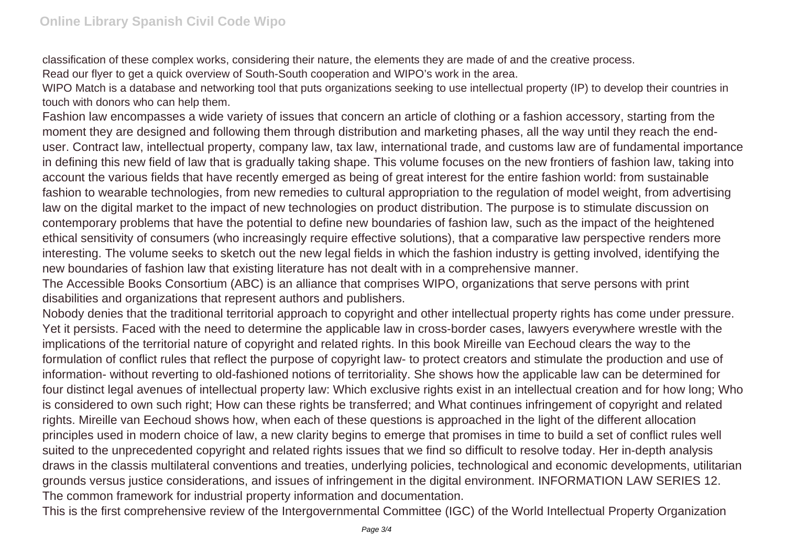classification of these complex works, considering their nature, the elements they are made of and the creative process.

Read our flyer to get a quick overview of South-South cooperation and WIPO's work in the area.

WIPO Match is a database and networking tool that puts organizations seeking to use intellectual property (IP) to develop their countries in touch with donors who can help them.

Fashion law encompasses a wide variety of issues that concern an article of clothing or a fashion accessory, starting from the moment they are designed and following them through distribution and marketing phases, all the way until they reach the enduser. Contract law, intellectual property, company law, tax law, international trade, and customs law are of fundamental importance in defining this new field of law that is gradually taking shape. This volume focuses on the new frontiers of fashion law, taking into account the various fields that have recently emerged as being of great interest for the entire fashion world: from sustainable fashion to wearable technologies, from new remedies to cultural appropriation to the regulation of model weight, from advertising law on the digital market to the impact of new technologies on product distribution. The purpose is to stimulate discussion on contemporary problems that have the potential to define new boundaries of fashion law, such as the impact of the heightened ethical sensitivity of consumers (who increasingly require effective solutions), that a comparative law perspective renders more interesting. The volume seeks to sketch out the new legal fields in which the fashion industry is getting involved, identifying the new boundaries of fashion law that existing literature has not dealt with in a comprehensive manner.

The Accessible Books Consortium (ABC) is an alliance that comprises WIPO, organizations that serve persons with print disabilities and organizations that represent authors and publishers.

Nobody denies that the traditional territorial approach to copyright and other intellectual property rights has come under pressure. Yet it persists. Faced with the need to determine the applicable law in cross-border cases, lawyers everywhere wrestle with the implications of the territorial nature of copyright and related rights. In this book Mireille van Eechoud clears the way to the formulation of conflict rules that reflect the purpose of copyright law- to protect creators and stimulate the production and use of information- without reverting to old-fashioned notions of territoriality. She shows how the applicable law can be determined for four distinct legal avenues of intellectual property law: Which exclusive rights exist in an intellectual creation and for how long; Who is considered to own such right; How can these rights be transferred; and What continues infringement of copyright and related rights. Mireille van Eechoud shows how, when each of these questions is approached in the light of the different allocation principles used in modern choice of law, a new clarity begins to emerge that promises in time to build a set of conflict rules well suited to the unprecedented copyright and related rights issues that we find so difficult to resolve today. Her in-depth analysis draws in the classis multilateral conventions and treaties, underlying policies, technological and economic developments, utilitarian grounds versus justice considerations, and issues of infringement in the digital environment. INFORMATION LAW SERIES 12. The common framework for industrial property information and documentation.

This is the first comprehensive review of the Intergovernmental Committee (IGC) of the World Intellectual Property Organization